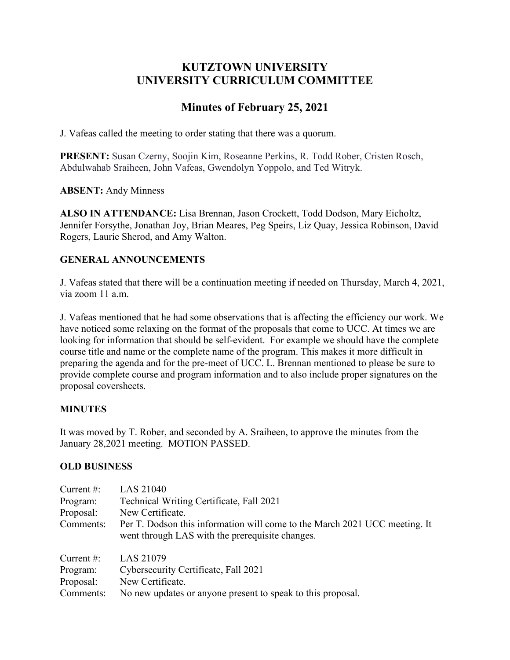# **KUTZTOWN UNIVERSITY UNIVERSITY CURRICULUM COMMITTEE**

# **Minutes of February 25, 2021**

J. Vafeas called the meeting to order stating that there was a quorum.

**PRESENT:** Susan Czerny, Soojin Kim, Roseanne Perkins, R. Todd Rober, Cristen Rosch, Abdulwahab Sraiheen, John Vafeas, Gwendolyn Yoppolo, and Ted Witryk.

**ABSENT:** Andy Minness

**ALSO IN ATTENDANCE:** Lisa Brennan, Jason Crockett, Todd Dodson, Mary Eicholtz, Jennifer Forsythe, Jonathan Joy, Brian Meares, Peg Speirs, Liz Quay, Jessica Robinson, David Rogers, Laurie Sherod, and Amy Walton.

### **GENERAL ANNOUNCEMENTS**

J. Vafeas stated that there will be a continuation meeting if needed on Thursday, March 4, 2021, via zoom 11 a.m.

J. Vafeas mentioned that he had some observations that is affecting the efficiency our work. We have noticed some relaxing on the format of the proposals that come to UCC. At times we are looking for information that should be self-evident. For example we should have the complete course title and name or the complete name of the program. This makes it more difficult in preparing the agenda and for the pre-meet of UCC. L. Brennan mentioned to please be sure to provide complete course and program information and to also include proper signatures on the proposal coversheets.

### **MINUTES**

It was moved by T. Rober, and seconded by A. Sraiheen, to approve the minutes from the January 28,2021 meeting. MOTION PASSED.

### **OLD BUSINESS**

| Current $#$ :<br>Program:<br>Proposal:<br>Comments: | LAS 21040<br>Technical Writing Certificate, Fall 2021<br>New Certificate.<br>Per T. Dodson this information will come to the March 2021 UCC meeting. It<br>went through LAS with the prerequisite changes. |
|-----------------------------------------------------|------------------------------------------------------------------------------------------------------------------------------------------------------------------------------------------------------------|
| Current $\#$ :                                      | LAS 21079                                                                                                                                                                                                  |
| Program:                                            | Cybersecurity Certificate, Fall 2021                                                                                                                                                                       |
| Proposal:                                           | New Certificate.                                                                                                                                                                                           |
| Comments:                                           | No new updates or anyone present to speak to this proposal.                                                                                                                                                |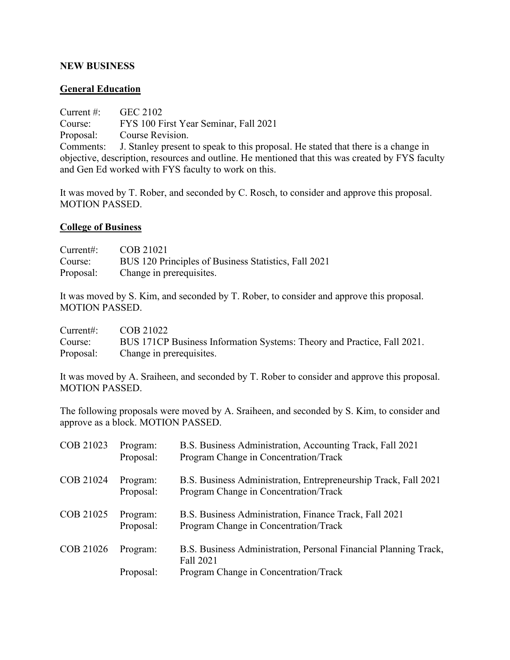#### **NEW BUSINESS**

### **General Education**

Current #: GEC 2102 Course: FYS 100 First Year Seminar, Fall 2021 Proposal: Course Revision. Comments: J. Stanley present to speak to this proposal. He stated that there is a change in objective, description, resources and outline. He mentioned that this was created by FYS faculty and Gen Ed worked with FYS faculty to work on this.

It was moved by T. Rober, and seconded by C. Rosch, to consider and approve this proposal. MOTION PASSED.

#### **College of Business**

| Current: | COB 21021                                            |
|----------|------------------------------------------------------|
| Course:  | BUS 120 Principles of Business Statistics, Fall 2021 |
|          | Proposal: Change in prerequisites.                   |

It was moved by S. Kim, and seconded by T. Rober, to consider and approve this proposal. MOTION PASSED.

| Current: COB 21022 |                                                                         |
|--------------------|-------------------------------------------------------------------------|
| Course:            | BUS 171CP Business Information Systems: Theory and Practice, Fall 2021. |
|                    | Proposal: Change in prerequisites.                                      |

It was moved by A. Sraiheen, and seconded by T. Rober to consider and approve this proposal. MOTION PASSED.

The following proposals were moved by A. Sraiheen, and seconded by S. Kim, to consider and approve as a block. MOTION PASSED.

| COB 21023 | Program:<br>Proposal: | B.S. Business Administration, Accounting Track, Fall 2021<br>Program Change in Concentration/Track       |
|-----------|-----------------------|----------------------------------------------------------------------------------------------------------|
| COB 21024 | Program:<br>Proposal: | B.S. Business Administration, Entrepreneurship Track, Fall 2021<br>Program Change in Concentration/Track |
| COB 21025 | Program:<br>Proposal: | B.S. Business Administration, Finance Track, Fall 2021<br>Program Change in Concentration/Track          |
| COB 21026 | Program:              | B.S. Business Administration, Personal Financial Planning Track,<br>Fall 2021                            |
|           | Proposal:             | Program Change in Concentration/Track                                                                    |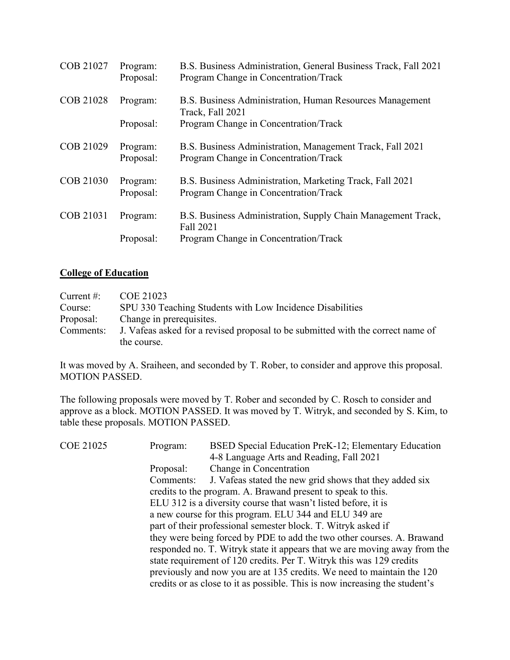| COB 21027        | Program:<br>Proposal: | B.S. Business Administration, General Business Track, Fall 2021<br>Program Change in Concentration/Track |
|------------------|-----------------------|----------------------------------------------------------------------------------------------------------|
| <b>COB 21028</b> | Program:              | B.S. Business Administration, Human Resources Management<br>Track, Fall 2021                             |
|                  | Proposal:             | Program Change in Concentration/Track                                                                    |
| COB 21029        | Program:<br>Proposal: | B.S. Business Administration, Management Track, Fall 2021<br>Program Change in Concentration/Track       |
| COB 21030        | Program:<br>Proposal: | B.S. Business Administration, Marketing Track, Fall 2021<br>Program Change in Concentration/Track        |
| COB 21031        | Program:              | B.S. Business Administration, Supply Chain Management Track,<br>Fall 2021                                |
|                  | Proposal:             | Program Change in Concentration/Track                                                                    |

### **College of Education**

| Current $\#$ : | COE 21023                                                                       |
|----------------|---------------------------------------------------------------------------------|
| Course:        | SPU 330 Teaching Students with Low Incidence Disabilities                       |
| Proposal:      | Change in prerequisites.                                                        |
| Comments:      | J. Vafeas asked for a revised proposal to be submitted with the correct name of |
|                | the course.                                                                     |

It was moved by A. Sraiheen, and seconded by T. Rober, to consider and approve this proposal. MOTION PASSED.

The following proposals were moved by T. Rober and seconded by C. Rosch to consider and approve as a block. MOTION PASSED. It was moved by T. Witryk, and seconded by S. Kim, to table these proposals. MOTION PASSED.

| <b>COE 21025</b> | Program:  | BSED Special Education PreK-12; Elementary Education                        |
|------------------|-----------|-----------------------------------------------------------------------------|
|                  |           | 4-8 Language Arts and Reading, Fall 2021                                    |
|                  | Proposal: | Change in Concentration                                                     |
|                  | Comments: | J. Vafeas stated the new grid shows that they added six                     |
|                  |           | credits to the program. A. Brawand present to speak to this.                |
|                  |           | ELU 312 is a diversity course that wasn't listed before, it is              |
|                  |           | a new course for this program. ELU 344 and ELU 349 are                      |
|                  |           | part of their professional semester block. T. Witryk asked if               |
|                  |           | they were being forced by PDE to add the two other courses. A. Brawand      |
|                  |           | responded no. T. Witryk state it appears that we are moving away from the   |
|                  |           | state requirement of 120 credits. Per T. Witryk this was 129 credits        |
|                  |           | previously and now you are at 135 credits. We need to maintain the 120      |
|                  |           | credits or as close to it as possible. This is now increasing the student's |
|                  |           |                                                                             |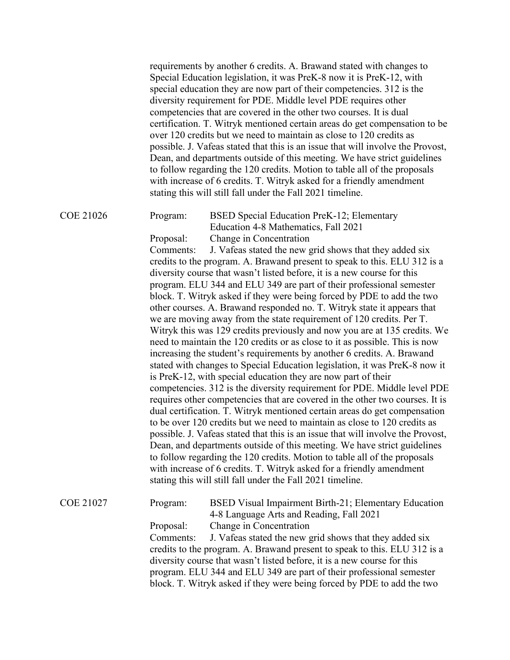|                  | requirements by another 6 credits. A. Brawand stated with changes to<br>Special Education legislation, it was PreK-8 now it is PreK-12, with<br>special education they are now part of their competencies. 312 is the<br>diversity requirement for PDE. Middle level PDE requires other<br>competencies that are covered in the other two courses. It is dual<br>certification. T. Witryk mentioned certain areas do get compensation to be<br>over 120 credits but we need to maintain as close to 120 credits as<br>possible. J. Vafeas stated that this is an issue that will involve the Provost,<br>Dean, and departments outside of this meeting. We have strict guidelines<br>to follow regarding the 120 credits. Motion to table all of the proposals<br>with increase of 6 credits. T. Witryk asked for a friendly amendment<br>stating this will still fall under the Fall 2021 timeline.                                                                                                                                                                                                                                                                                                                                                                                                                                                                                                                                                                                                                                                                                                                                                                   |
|------------------|------------------------------------------------------------------------------------------------------------------------------------------------------------------------------------------------------------------------------------------------------------------------------------------------------------------------------------------------------------------------------------------------------------------------------------------------------------------------------------------------------------------------------------------------------------------------------------------------------------------------------------------------------------------------------------------------------------------------------------------------------------------------------------------------------------------------------------------------------------------------------------------------------------------------------------------------------------------------------------------------------------------------------------------------------------------------------------------------------------------------------------------------------------------------------------------------------------------------------------------------------------------------------------------------------------------------------------------------------------------------------------------------------------------------------------------------------------------------------------------------------------------------------------------------------------------------------------------------------------------------------------------------------------------------|
| <b>COE 21026</b> | <b>BSED Special Education PreK-12; Elementary</b><br>Program:<br>Education 4-8 Mathematics, Fall 2021                                                                                                                                                                                                                                                                                                                                                                                                                                                                                                                                                                                                                                                                                                                                                                                                                                                                                                                                                                                                                                                                                                                                                                                                                                                                                                                                                                                                                                                                                                                                                                  |
|                  | Change in Concentration<br>Proposal:<br>J. Vafeas stated the new grid shows that they added six<br>Comments:<br>credits to the program. A. Brawand present to speak to this. ELU 312 is a<br>diversity course that wasn't listed before, it is a new course for this<br>program. ELU 344 and ELU 349 are part of their professional semester<br>block. T. Witryk asked if they were being forced by PDE to add the two<br>other courses. A. Brawand responded no. T. Witryk state it appears that<br>we are moving away from the state requirement of 120 credits. Per T.<br>Witryk this was 129 credits previously and now you are at 135 credits. We<br>need to maintain the 120 credits or as close to it as possible. This is now<br>increasing the student's requirements by another 6 credits. A. Brawand<br>stated with changes to Special Education legislation, it was PreK-8 now it<br>is PreK-12, with special education they are now part of their<br>competencies. 312 is the diversity requirement for PDE. Middle level PDE<br>requires other competencies that are covered in the other two courses. It is<br>dual certification. T. Witryk mentioned certain areas do get compensation<br>to be over 120 credits but we need to maintain as close to 120 credits as<br>possible. J. Vafeas stated that this is an issue that will involve the Provost,<br>Dean, and departments outside of this meeting. We have strict guidelines<br>to follow regarding the 120 credits. Motion to table all of the proposals<br>with increase of 6 credits. T. Witryk asked for a friendly amendment<br>stating this will still fall under the Fall 2021 timeline. |
| <b>COE 21027</b> | BSED Visual Impairment Birth-21; Elementary Education<br>Program:<br>4-8 Language Arts and Reading, Fall 2021<br>Change in Concentration<br>Proposal:                                                                                                                                                                                                                                                                                                                                                                                                                                                                                                                                                                                                                                                                                                                                                                                                                                                                                                                                                                                                                                                                                                                                                                                                                                                                                                                                                                                                                                                                                                                  |
|                  | Comments:<br>J. Vafeas stated the new grid shows that they added six<br>credits to the program. A. Brawand present to speak to this. ELU 312 is a<br>diversity course that wasn't listed before, it is a new course for this<br>program. ELU 344 and ELU 349 are part of their professional semester<br>block. T. Witryk asked if they were being forced by PDE to add the two                                                                                                                                                                                                                                                                                                                                                                                                                                                                                                                                                                                                                                                                                                                                                                                                                                                                                                                                                                                                                                                                                                                                                                                                                                                                                         |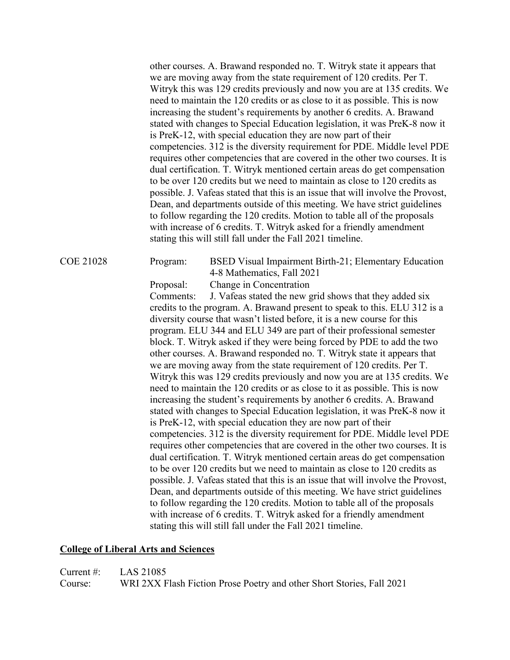other courses. A. Brawand responded no. T. Witryk state it appears that we are moving away from the state requirement of 120 credits. Per T. Witryk this was 129 credits previously and now you are at 135 credits. We need to maintain the 120 credits or as close to it as possible. This is now increasing the student's requirements by another 6 credits. A. Brawand stated with changes to Special Education legislation, it was PreK-8 now it is PreK-12, with special education they are now part of their competencies. 312 is the diversity requirement for PDE. Middle level PDE requires other competencies that are covered in the other two courses. It is dual certification. T. Witryk mentioned certain areas do get compensation to be over 120 credits but we need to maintain as close to 120 credits as possible. J. Vafeas stated that this is an issue that will involve the Provost, Dean, and departments outside of this meeting. We have strict guidelines to follow regarding the 120 credits. Motion to table all of the proposals with increase of 6 credits. T. Witryk asked for a friendly amendment stating this will still fall under the Fall 2021 timeline.

## COE 21028 Program: BSED Visual Impairment Birth-21; Elementary Education 4-8 Mathematics, Fall 2021

Proposal: Change in Concentration

Comments: J. Vafeas stated the new grid shows that they added six credits to the program. A. Brawand present to speak to this. ELU 312 is a diversity course that wasn't listed before, it is a new course for this program. ELU 344 and ELU 349 are part of their professional semester block. T. Witryk asked if they were being forced by PDE to add the two other courses. A. Brawand responded no. T. Witryk state it appears that we are moving away from the state requirement of 120 credits. Per T. Witryk this was 129 credits previously and now you are at 135 credits. We need to maintain the 120 credits or as close to it as possible. This is now increasing the student's requirements by another 6 credits. A. Brawand stated with changes to Special Education legislation, it was PreK-8 now it is PreK-12, with special education they are now part of their competencies. 312 is the diversity requirement for PDE. Middle level PDE requires other competencies that are covered in the other two courses. It is dual certification. T. Witryk mentioned certain areas do get compensation to be over 120 credits but we need to maintain as close to 120 credits as possible. J. Vafeas stated that this is an issue that will involve the Provost, Dean, and departments outside of this meeting. We have strict guidelines to follow regarding the 120 credits. Motion to table all of the proposals with increase of 6 credits. T. Witryk asked for a friendly amendment stating this will still fall under the Fall 2021 timeline.

#### **College of Liberal Arts and Sciences**

Current #: LAS 21085

Course: WRI 2XX Flash Fiction Prose Poetry and other Short Stories, Fall 2021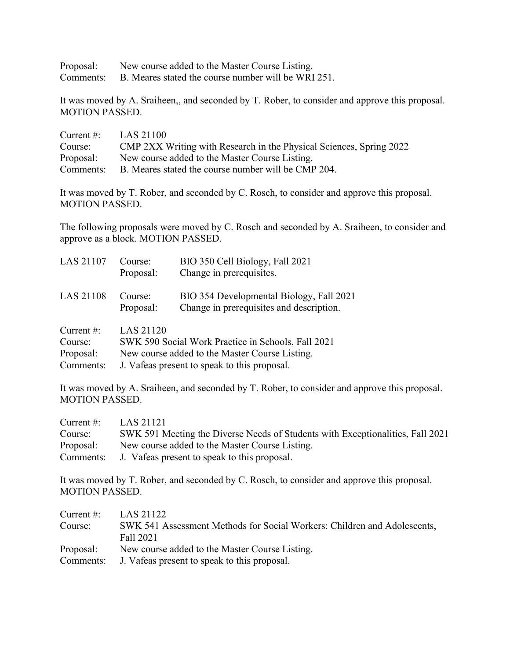Proposal: New course added to the Master Course Listing.

Comments: B. Meares stated the course number will be WRI 251.

It was moved by A. Sraiheen,, and seconded by T. Rober, to consider and approve this proposal. MOTION PASSED.

| Current $\#$ : | LAS 21100                                                           |
|----------------|---------------------------------------------------------------------|
| Course:        | CMP 2XX Writing with Research in the Physical Sciences, Spring 2022 |
| Proposal:      | New course added to the Master Course Listing.                      |
| Comments:      | B. Meares stated the course number will be CMP 204.                 |

It was moved by T. Rober, and seconded by C. Rosch, to consider and approve this proposal. MOTION PASSED.

The following proposals were moved by C. Rosch and seconded by A. Sraiheen, to consider and approve as a block. MOTION PASSED.

| <b>LAS 21107</b> | Course:<br>Proposal:                           | BIO 350 Cell Biology, Fall 2021<br>Change in prerequisites.                          |
|------------------|------------------------------------------------|--------------------------------------------------------------------------------------|
| <b>LAS 21108</b> | Course:<br>Proposal:                           | BIO 354 Developmental Biology, Fall 2021<br>Change in prerequisites and description. |
| Current $\#$ :   | LAS 21120                                      |                                                                                      |
| Course:          |                                                | SWK 590 Social Work Practice in Schools, Fall 2021                                   |
| Proposal:        | New course added to the Master Course Listing. |                                                                                      |
| Comments:        | J. Vafeas present to speak to this proposal.   |                                                                                      |

It was moved by A. Sraiheen, and seconded by T. Rober, to consider and approve this proposal. MOTION PASSED.

| Current $#$ : | LAS 21121                                                                      |
|---------------|--------------------------------------------------------------------------------|
| Course:       | SWK 591 Meeting the Diverse Needs of Students with Exceptionalities, Fall 2021 |
| Proposal:     | New course added to the Master Course Listing.                                 |
| Comments:     | J. Vafeas present to speak to this proposal.                                   |

It was moved by T. Rober, and seconded by C. Rosch, to consider and approve this proposal. MOTION PASSED.

| Current $\#$ : | LAS 21122                                                                |
|----------------|--------------------------------------------------------------------------|
| Course:        | SWK 541 Assessment Methods for Social Workers: Children and Adolescents, |
|                | Fall 2021                                                                |
| Proposal:      | New course added to the Master Course Listing.                           |
|                | Comments: J. Vafeas present to speak to this proposal.                   |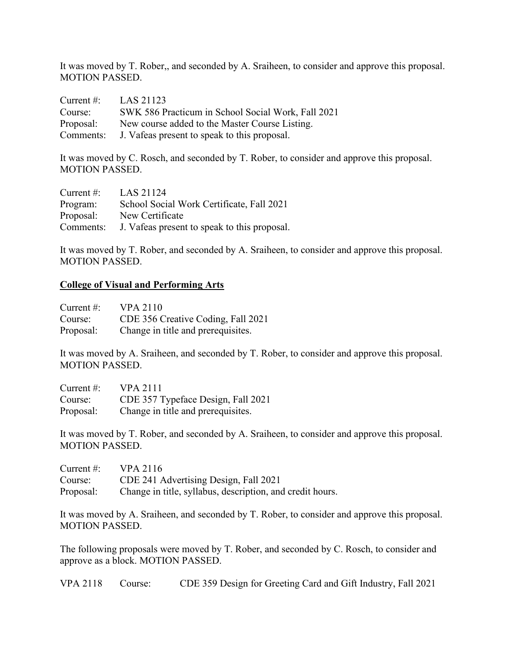It was moved by T. Rober,, and seconded by A. Sraiheen, to consider and approve this proposal. MOTION PASSED.

| Current $#$ : | LAS 21123                                              |
|---------------|--------------------------------------------------------|
| Course:       | SWK 586 Practicum in School Social Work, Fall 2021     |
| Proposal:     | New course added to the Master Course Listing.         |
|               | Comments: J. Vafeas present to speak to this proposal. |

It was moved by C. Rosch, and seconded by T. Rober, to consider and approve this proposal. MOTION PASSED.

| Current $\#$ : | LAS 21124                                    |
|----------------|----------------------------------------------|
| Program:       | School Social Work Certificate, Fall 2021    |
| Proposal:      | New Certificate                              |
| Comments:      | J. Vafeas present to speak to this proposal. |

It was moved by T. Rober, and seconded by A. Sraiheen, to consider and approve this proposal. MOTION PASSED.

### **College of Visual and Performing Arts**

| Current $\#$ : | <b>VPA 2110</b>                    |
|----------------|------------------------------------|
| Course:        | CDE 356 Creative Coding, Fall 2021 |
| Proposal:      | Change in title and prerequisites. |

It was moved by A. Sraiheen, and seconded by T. Rober, to consider and approve this proposal. MOTION PASSED.

| Current $\#$ : | <b>VPA 2111</b>                    |
|----------------|------------------------------------|
| Course:        | CDE 357 Typeface Design, Fall 2021 |
| Proposal:      | Change in title and prerequisites. |

It was moved by T. Rober, and seconded by A. Sraiheen, to consider and approve this proposal. MOTION PASSED.

| Current $\#$ : | <b>VPA 2116</b>                                           |
|----------------|-----------------------------------------------------------|
| Course:        | CDE 241 Advertising Design, Fall 2021                     |
| Proposal:      | Change in title, syllabus, description, and credit hours. |

It was moved by A. Sraiheen, and seconded by T. Rober, to consider and approve this proposal. MOTION PASSED.

The following proposals were moved by T. Rober, and seconded by C. Rosch, to consider and approve as a block. MOTION PASSED.

VPA 2118 Course: CDE 359 Design for Greeting Card and Gift Industry, Fall 2021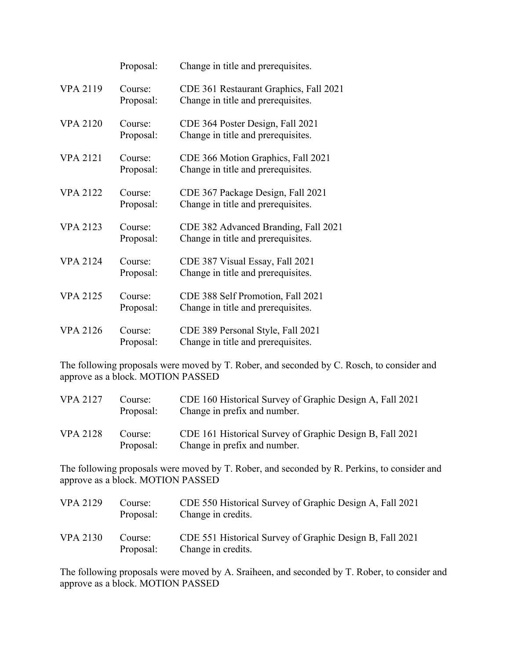|                 | Proposal:            | Change in title and prerequisites.                                           |
|-----------------|----------------------|------------------------------------------------------------------------------|
| <b>VPA 2119</b> | Course:<br>Proposal: | CDE 361 Restaurant Graphics, Fall 2021<br>Change in title and prerequisites. |
| <b>VPA 2120</b> | Course:<br>Proposal: | CDE 364 Poster Design, Fall 2021<br>Change in title and prerequisites.       |
| <b>VPA 2121</b> | Course:<br>Proposal: | CDE 366 Motion Graphics, Fall 2021<br>Change in title and prerequisites.     |
| <b>VPA 2122</b> | Course:<br>Proposal: | CDE 367 Package Design, Fall 2021<br>Change in title and prerequisites.      |
| <b>VPA 2123</b> | Course:<br>Proposal: | CDE 382 Advanced Branding, Fall 2021<br>Change in title and prerequisites.   |
| <b>VPA 2124</b> | Course:<br>Proposal: | CDE 387 Visual Essay, Fall 2021<br>Change in title and prerequisites.        |
| <b>VPA 2125</b> | Course:<br>Proposal: | CDE 388 Self Promotion, Fall 2021<br>Change in title and prerequisites.      |
| <b>VPA 2126</b> | Course:<br>Proposal: | CDE 389 Personal Style, Fall 2021<br>Change in title and prerequisites.      |

The following proposals were moved by T. Rober, and seconded by C. Rosch, to consider and approve as a block. MOTION PASSED

| <b>VPA 2127</b> | Course:<br>Proposal: | CDE 160 Historical Survey of Graphic Design A, Fall 2021<br>Change in prefix and number. |
|-----------------|----------------------|------------------------------------------------------------------------------------------|
| <b>VPA 2128</b> | Course:<br>Proposal: | CDE 161 Historical Survey of Graphic Design B, Fall 2021<br>Change in prefix and number. |

The following proposals were moved by T. Rober, and seconded by R. Perkins, to consider and approve as a block. MOTION PASSED

| <b>VPA 2129</b> | Course:<br>Proposal: | CDE 550 Historical Survey of Graphic Design A, Fall 2021<br>Change in credits. |
|-----------------|----------------------|--------------------------------------------------------------------------------|
| <b>VPA 2130</b> | Course:<br>Proposal: | CDE 551 Historical Survey of Graphic Design B, Fall 2021<br>Change in credits. |

The following proposals were moved by A. Sraiheen, and seconded by T. Rober, to consider and approve as a block. MOTION PASSED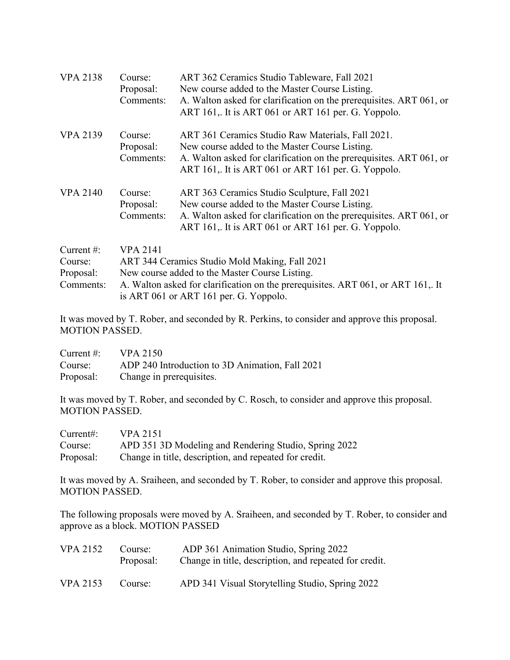| <b>VPA 2138</b>                                    | Course:<br>Proposal:<br>Comments:                                                                                                                                                                                                                | ART 362 Ceramics Studio Tableware, Fall 2021<br>New course added to the Master Course Listing.<br>A. Walton asked for clarification on the prerequisites. ART 061, or<br>ART 161,. It is ART 061 or ART 161 per. G. Yoppolo.      |
|----------------------------------------------------|--------------------------------------------------------------------------------------------------------------------------------------------------------------------------------------------------------------------------------------------------|-----------------------------------------------------------------------------------------------------------------------------------------------------------------------------------------------------------------------------------|
| <b>VPA 2139</b>                                    | Course:<br>Proposal:<br>Comments:                                                                                                                                                                                                                | ART 361 Ceramics Studio Raw Materials, Fall 2021.<br>New course added to the Master Course Listing.<br>A. Walton asked for clarification on the prerequisites. ART 061, or<br>ART 161,. It is ART 061 or ART 161 per. G. Yoppolo. |
| <b>VPA 2140</b>                                    | Course:<br>Proposal:<br>Comments:                                                                                                                                                                                                                | ART 363 Ceramics Studio Sculpture, Fall 2021<br>New course added to the Master Course Listing.<br>A. Walton asked for clarification on the prerequisites. ART 061, or<br>ART 161,. It is ART 061 or ART 161 per. G. Yoppolo.      |
| Current $#$ :<br>Course:<br>Proposal:<br>Comments: | <b>VPA 2141</b><br>ART 344 Ceramics Studio Mold Making, Fall 2021<br>New course added to the Master Course Listing.<br>A. Walton asked for clarification on the prerequisites. ART 061, or ART 161, It<br>is ART 061 or ART 161 per. G. Yoppolo. |                                                                                                                                                                                                                                   |

It was moved by T. Rober, and seconded by R. Perkins, to consider and approve this proposal. MOTION PASSED.

| Current $\#$ : | <b>VPA 2150</b>                                 |
|----------------|-------------------------------------------------|
| Course:        | ADP 240 Introduction to 3D Animation, Fall 2021 |
| Proposal:      | Change in prerequisites.                        |

It was moved by T. Rober, and seconded by C. Rosch, to consider and approve this proposal. MOTION PASSED.

| Current:  | <b>VPA 2151</b>                                        |
|-----------|--------------------------------------------------------|
| Course:   | APD 351 3D Modeling and Rendering Studio, Spring 2022  |
| Proposal: | Change in title, description, and repeated for credit. |

It was moved by A. Sraiheen, and seconded by T. Rober, to consider and approve this proposal. MOTION PASSED.

The following proposals were moved by A. Sraiheen, and seconded by T. Rober, to consider and approve as a block. MOTION PASSED

| <b>VPA 2152</b> | Course:<br>Proposal: | ADP 361 Animation Studio, Spring 2022<br>Change in title, description, and repeated for credit. |
|-----------------|----------------------|-------------------------------------------------------------------------------------------------|
| <b>VPA 2153</b> | Course:              | APD 341 Visual Storytelling Studio, Spring 2022                                                 |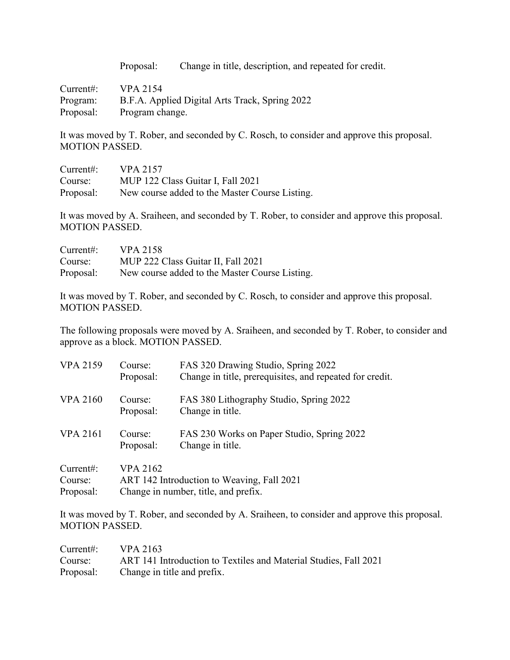Proposal: Change in title, description, and repeated for credit.

Current#: VPA 2154 Program: B.F.A. Applied Digital Arts Track, Spring 2022 Proposal: Program change.

It was moved by T. Rober, and seconded by C. Rosch, to consider and approve this proposal. MOTION PASSED.

| Current:  | <b>VPA 2157</b>                                |
|-----------|------------------------------------------------|
| Course:   | MUP 122 Class Guitar I, Fall 2021              |
| Proposal: | New course added to the Master Course Listing. |

It was moved by A. Sraiheen, and seconded by T. Rober, to consider and approve this proposal. MOTION PASSED.

| Current:  | <b>VPA 2158</b>                                |
|-----------|------------------------------------------------|
| Course:   | MUP 222 Class Guitar II, Fall 2021             |
| Proposal: | New course added to the Master Course Listing. |

It was moved by T. Rober, and seconded by C. Rosch, to consider and approve this proposal. MOTION PASSED.

The following proposals were moved by A. Sraiheen, and seconded by T. Rober, to consider and approve as a block. MOTION PASSED.

| <b>VPA 2159</b>                  | Course:<br>Proposal: | FAS 320 Drawing Studio, Spring 2022<br>Change in title, prerequisites, and repeated for credit. |
|----------------------------------|----------------------|-------------------------------------------------------------------------------------------------|
| <b>VPA 2160</b>                  | Course:<br>Proposal: | FAS 380 Lithography Studio, Spring 2022<br>Change in title.                                     |
| <b>VPA 2161</b>                  | Course:<br>Proposal: | FAS 230 Works on Paper Studio, Spring 2022<br>Change in title.                                  |
| Current:<br>Course:<br>Proposal: | <b>VPA 2162</b>      | ART 142 Introduction to Weaving, Fall 2021<br>Change in number, title, and prefix.              |

It was moved by T. Rober, and seconded by A. Sraiheen, to consider and approve this proposal. MOTION PASSED.

| Current: | VPA 2163                                                         |
|----------|------------------------------------------------------------------|
| Course:  | ART 141 Introduction to Textiles and Material Studies, Fall 2021 |
|          | Proposal: Change in title and prefix.                            |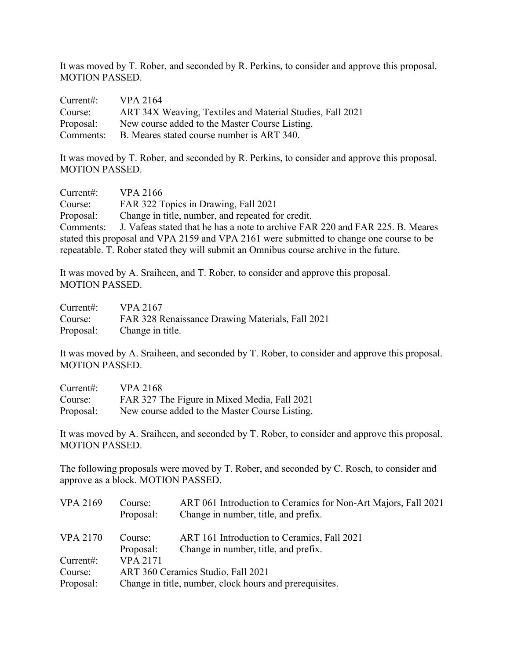It was moved by T. Rober, and seconded by R. Perkins, to consider and approve this proposal. MOTION PASSED.

| Current:  | VPA 2164                                                  |
|-----------|-----------------------------------------------------------|
| Course:   | ART 34X Weaving, Textiles and Material Studies, Fall 2021 |
| Proposal: | New course added to the Master Course Listing.            |
| Comments: | B. Meares stated course number is ART 340.                |

It was moved by T. Rober, and seconded by R. Perkins, to consider and approve this proposal. MOTION PASSED.

Current#: VPA 2166 Course: FAR 322 Topics in Drawing, Fall 2021 Proposal: Change in title, number, and repeated for credit. Comments: J. Vafeas stated that he has a note to archive FAR 220 and FAR 225. B. Meares stated this proposal and VPA 2159 and VPA 2161 were submitted to change one course to be repeatable. T. Rober stated they will submit an Omnibus course archive in the future.

It was moved by A. Sraiheen, and T. Rober, to consider and approve this proposal. MOTION PASSED.

| $Current$ : | <b>VPA 2167</b>                                  |
|-------------|--------------------------------------------------|
| Course:     | FAR 328 Renaissance Drawing Materials, Fall 2021 |
|             | Proposal: Change in title.                       |

It was moved by A. Sraiheen, and seconded by T. Rober, to consider and approve this proposal. MOTION PASSED.

| Current:  | <b>VPA 2168</b>                                |
|-----------|------------------------------------------------|
| Course:   | FAR 327 The Figure in Mixed Media, Fall 2021   |
| Proposal: | New course added to the Master Course Listing. |

It was moved by A. Sraiheen, and seconded by T. Rober, to consider and approve this proposal. MOTION PASSED.

The following proposals were moved by T. Rober, and seconded by C. Rosch, to consider and approve as a block. MOTION PASSED.

| <b>VPA 2169</b> | Course:<br>Proposal:               | ART 061 Introduction to Ceramics for Non-Art Majors, Fall 2021<br>Change in number, title, and prefix. |
|-----------------|------------------------------------|--------------------------------------------------------------------------------------------------------|
| <b>VPA 2170</b> | Course:<br>Proposal:               | ART 161 Introduction to Ceramics, Fall 2021<br>Change in number, title, and prefix.                    |
| Current:        | <b>VPA 2171</b>                    |                                                                                                        |
| Course:         | ART 360 Ceramics Studio, Fall 2021 |                                                                                                        |
| Proposal:       |                                    | Change in title, number, clock hours and prerequisites.                                                |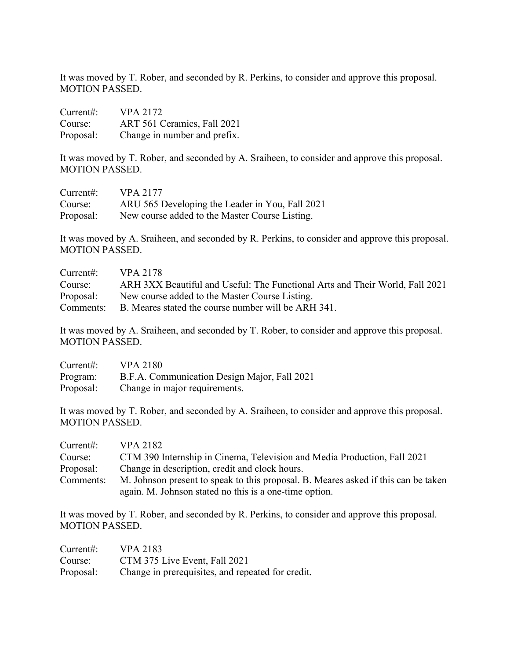It was moved by T. Rober, and seconded by R. Perkins, to consider and approve this proposal. MOTION PASSED.

| Current:  | <b>VPA 2172</b>              |
|-----------|------------------------------|
| Course:   | ART 561 Ceramics, Fall 2021  |
| Proposal: | Change in number and prefix. |

It was moved by T. Rober, and seconded by A. Sraiheen, to consider and approve this proposal. MOTION PASSED.

| Current:  | <b>VPA 2177</b>                                 |
|-----------|-------------------------------------------------|
| Course:   | ARU 565 Developing the Leader in You, Fall 2021 |
| Proposal: | New course added to the Master Course Listing.  |

It was moved by A. Sraiheen, and seconded by R. Perkins, to consider and approve this proposal. MOTION PASSED.

| Current:  | VPA 2178                                                                     |
|-----------|------------------------------------------------------------------------------|
| Course:   | ARH 3XX Beautiful and Useful: The Functional Arts and Their World, Fall 2021 |
| Proposal: | New course added to the Master Course Listing.                               |
|           | Comments: B. Meares stated the course number will be ARH 341.                |

It was moved by A. Sraiheen, and seconded by T. Rober, to consider and approve this proposal. MOTION PASSED.

| Current:  | <b>VPA 2180</b>                              |
|-----------|----------------------------------------------|
| Program:  | B.F.A. Communication Design Major, Fall 2021 |
| Proposal: | Change in major requirements.                |

It was moved by T. Rober, and seconded by A. Sraiheen, to consider and approve this proposal. MOTION PASSED.

| Current:  | <b>VPA 2182</b>                                                                    |
|-----------|------------------------------------------------------------------------------------|
| Course:   | CTM 390 Internship in Cinema, Television and Media Production, Fall 2021           |
| Proposal: | Change in description, credit and clock hours.                                     |
| Comments: | M. Johnson present to speak to this proposal. B. Meares asked if this can be taken |
|           | again. M. Johnson stated no this is a one-time option.                             |

It was moved by T. Rober, and seconded by R. Perkins, to consider and approve this proposal. MOTION PASSED.

| Current#: | <b>VPA 2183</b>                                             |
|-----------|-------------------------------------------------------------|
| Course:   | CTM 375 Live Event, Fall 2021                               |
|           | Proposal: Change in prerequisites, and repeated for credit. |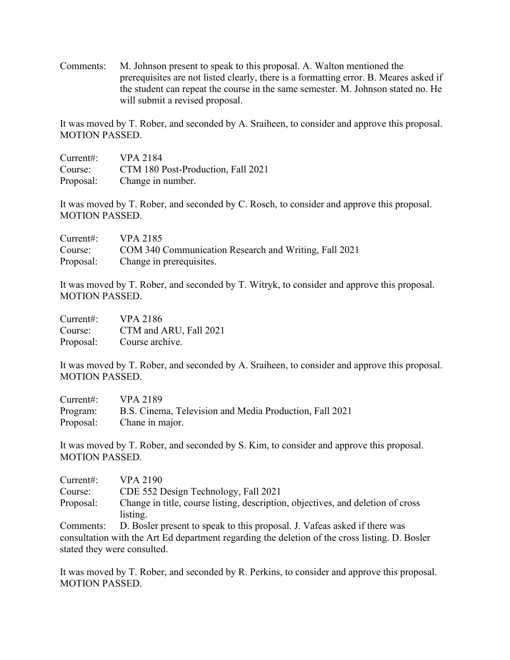Comments: M. Johnson present to speak to this proposal. A. Walton mentioned the prerequisites are not listed clearly, there is a formatting error. B. Meares asked if the student can repeat the course in the same semester. M. Johnson stated no. He will submit a revised proposal.

It was moved by T. Rober, and seconded by A. Sraiheen, to consider and approve this proposal. MOTION PASSED.

| Current:  | <b>VPA 2184</b>                    |
|-----------|------------------------------------|
| Course:   | CTM 180 Post-Production, Fall 2021 |
| Proposal: | Change in number.                  |

It was moved by T. Rober, and seconded by C. Rosch, to consider and approve this proposal. MOTION PASSED.

| Current:  | <b>VPA 2185</b>                                       |
|-----------|-------------------------------------------------------|
| Course:   | COM 340 Communication Research and Writing, Fall 2021 |
| Proposal: | Change in prerequisites.                              |

It was moved by T. Rober, and seconded by T. Witryk, to consider and approve this proposal. MOTION PASSED.

Current#: VPA 2186 Course: CTM and ARU, Fall 2021 Proposal: Course archive.

It was moved by T. Rober, and seconded by A. Sraiheen, to consider and approve this proposal. MOTION PASSED.

| Current#: $VPA 2189$ |                                                         |
|----------------------|---------------------------------------------------------|
| Program:             | B.S. Cinema, Television and Media Production, Fall 2021 |
|                      | Proposal: Chane in major.                               |

It was moved by T. Rober, and seconded by S. Kim, to consider and approve this proposal. MOTION PASSED.

| Current:  | VPA 2190                                                                                    |
|-----------|---------------------------------------------------------------------------------------------|
| Course:   | CDE 552 Design Technology, Fall 2021                                                        |
| Proposal: | Change in title, course listing, description, objectives, and deletion of cross<br>listing. |

Comments: D. Bosler present to speak to this proposal. J. Vafeas asked if there was consultation with the Art Ed department regarding the deletion of the cross listing. D. Bosler stated they were consulted.

It was moved by T. Rober, and seconded by R. Perkins, to consider and approve this proposal. MOTION PASSED.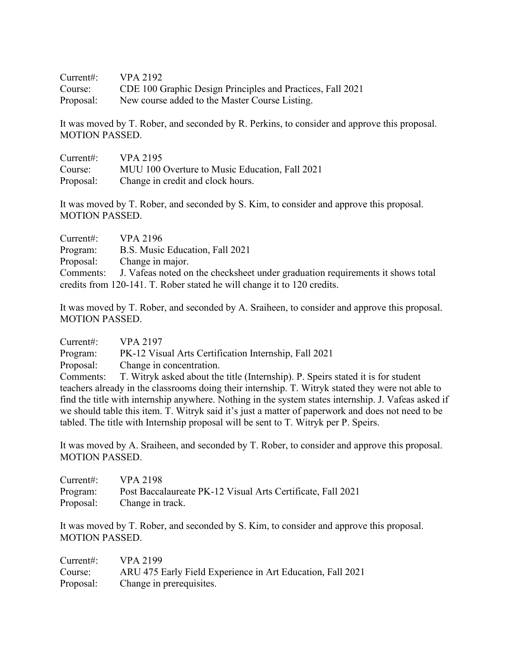| Current:  | <b>VPA 2192</b>                                            |
|-----------|------------------------------------------------------------|
| Course:   | CDE 100 Graphic Design Principles and Practices, Fall 2021 |
| Proposal: | New course added to the Master Course Listing.             |

It was moved by T. Rober, and seconded by R. Perkins, to consider and approve this proposal. MOTION PASSED.

| Current: | <b>VPA 2195</b>                                |
|----------|------------------------------------------------|
| Course:  | MUU 100 Overture to Music Education, Fall 2021 |
|          | Proposal: Change in credit and clock hours.    |

It was moved by T. Rober, and seconded by S. Kim, to consider and approve this proposal. MOTION PASSED.

| Current:                                                                | VPA 2196                                                                                 |  |
|-------------------------------------------------------------------------|------------------------------------------------------------------------------------------|--|
| Program:                                                                | B.S. Music Education, Fall 2021                                                          |  |
| Proposal:                                                               | Change in major.                                                                         |  |
|                                                                         | Comments: J. Vafeas noted on the checksheet under graduation requirements it shows total |  |
| credits from 120-141. T. Rober stated he will change it to 120 credits. |                                                                                          |  |

It was moved by T. Rober, and seconded by A. Sraiheen, to consider and approve this proposal. MOTION PASSED.

| Current:                                                                                             | <b>VPA 2197</b>                                                                  |  |
|------------------------------------------------------------------------------------------------------|----------------------------------------------------------------------------------|--|
| Program:                                                                                             | PK-12 Visual Arts Certification Internship, Fall 2021                            |  |
| Proposal:                                                                                            | Change in concentration.                                                         |  |
| Comments:                                                                                            | T. Witryk asked about the title (Internship). P. Speirs stated it is for student |  |
| teachers already in the classrooms doing their internship. T. Witryk stated they were not able to    |                                                                                  |  |
| find the title with internship anywhere. Nothing in the system states internship. J. Vafeas asked if |                                                                                  |  |
| we should table this item. T. Witryk said it's just a matter of paperwork and does not need to be    |                                                                                  |  |
| tabled. The title with Internship proposal will be sent to T. Witryk per P. Speirs.                  |                                                                                  |  |

It was moved by A. Sraiheen, and seconded by T. Rober, to consider and approve this proposal. MOTION PASSED.

| Current:  | <b>VPA 2198</b>                                             |
|-----------|-------------------------------------------------------------|
| Program:  | Post Baccalaureate PK-12 Visual Arts Certificate, Fall 2021 |
| Proposal: | Change in track.                                            |

It was moved by T. Rober, and seconded by S. Kim, to consider and approve this proposal. MOTION PASSED.

| Current: | VPA 2199                                                   |
|----------|------------------------------------------------------------|
| Course:  | ARU 475 Early Field Experience in Art Education, Fall 2021 |
|          | Proposal: Change in prerequisites.                         |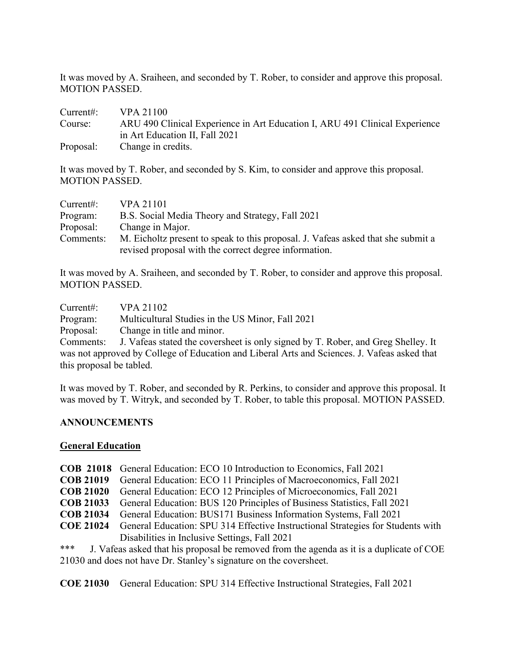It was moved by A. Sraiheen, and seconded by T. Rober, to consider and approve this proposal. MOTION PASSED.

| Current:  | VPA 21100                                                                   |
|-----------|-----------------------------------------------------------------------------|
| Course:   | ARU 490 Clinical Experience in Art Education I, ARU 491 Clinical Experience |
|           | in Art Education II, Fall 2021                                              |
| Proposal: | Change in credits.                                                          |

It was moved by T. Rober, and seconded by S. Kim, to consider and approve this proposal. MOTION PASSED.

| Current:  | <b>VPA 21101</b>                                                                 |
|-----------|----------------------------------------------------------------------------------|
| Program:  | B.S. Social Media Theory and Strategy, Fall 2021                                 |
| Proposal: | Change in Major.                                                                 |
| Comments: | M. Eicholtz present to speak to this proposal. J. Vafeas asked that she submit a |
|           | revised proposal with the correct degree information.                            |

It was moved by A. Sraiheen, and seconded by T. Rober, to consider and approve this proposal. MOTION PASSED.

| Current:  | <b>VPA 21102</b>                                                                 |
|-----------|----------------------------------------------------------------------------------|
| Program:  | Multicultural Studies in the US Minor, Fall 2021                                 |
| Proposal: | Change in title and minor.                                                       |
| Comments: | J. Vafeas stated the coversheet is only signed by T. Rober, and Greg Shelley. It |

was not approved by College of Education and Liberal Arts and Sciences. J. Vafeas asked that this proposal be tabled.

It was moved by T. Rober, and seconded by R. Perkins, to consider and approve this proposal. It was moved by T. Witryk, and seconded by T. Rober, to table this proposal. MOTION PASSED.

#### **ANNOUNCEMENTS**

#### **General Education**

|                                                                    | <b>COB 21018</b> General Education: ECO 10 Introduction to Economics, Fall 2021          |  |
|--------------------------------------------------------------------|------------------------------------------------------------------------------------------|--|
| <b>COB 21019</b>                                                   | General Education: ECO 11 Principles of Macroeconomics, Fall 2021                        |  |
| <b>COB 21020</b>                                                   | General Education: ECO 12 Principles of Microeconomics, Fall 2021                        |  |
| <b>COB 21033</b>                                                   | General Education: BUS 120 Principles of Business Statistics, Fall 2021                  |  |
| <b>COB 21034</b>                                                   | General Education: BUS171 Business Information Systems, Fall 2021                        |  |
| <b>COE 21024</b>                                                   | General Education: SPU 314 Effective Instructional Strategies for Students with          |  |
|                                                                    | Disabilities in Inclusive Settings, Fall 2021                                            |  |
| ***                                                                | J. Vafeas asked that his proposal be removed from the agenda as it is a duplicate of COE |  |
| 21030 and does not have Dr. Stanley's signature on the coversheet. |                                                                                          |  |
|                                                                    |                                                                                          |  |

**COE 21030** General Education: SPU 314 Effective Instructional Strategies, Fall 2021